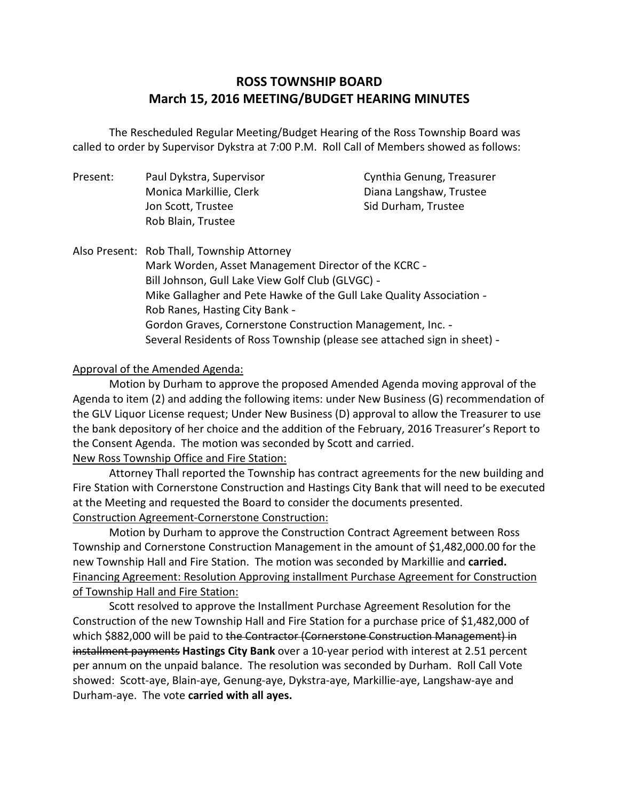# **ROSS TOWNSHIP BOARD March 15, 2016 MEETING/BUDGET HEARING MINUTES**

 called to order by Supervisor Dykstra at 7:00 P.M. Roll Call of Members showed as follows: The Rescheduled Regular Meeting/Budget Hearing of the Ross Township Board was

| Present: | Paul Dykstra, Supervisor | Cynthia Genung, Treasurer |
|----------|--------------------------|---------------------------|
|          | Monica Markillie, Clerk  | Diana Langshaw, Trustee   |
|          | Jon Scott, Trustee       | Sid Durham, Trustee       |
|          | Rob Blain, Trustee       |                           |

 Also Present: Rob Thall, Township Attorney Mark Worden, Asset Management Director of the KCRC Bill Johnson, Gull Lake View Golf Club (GLVGC) Mike Gallagher and Pete Hawke of the Gull Lake Quality Association Rob Ranes, Hasting City Bank Gordon Graves, Cornerstone Construction Management, Inc. Several Residents of Ross Township (please see attached sign in sheet)

### Approval of the Amended Agenda:

 Motion by Durham to approve the proposed Amended Agenda moving approval of the Agenda to item (2) and adding the following items: under New Business (G) recommendation of the GLV Liquor License request; Under New Business (D) approval to allow the Treasurer to use the Consent Agenda. The motion was seconded by Scott and carried. the bank depository of her choice and the addition of the February, 2016 Treasurer's Report to

#### New Ross Township Office and Fire Station:

 Attorney Thall reported the Township has contract agreements for the new building and Fire Station with Cornerstone Construction and Hastings City Bank that will need to be executed at the Meeting and requested the Board to consider the documents presented. Construction Agreement-Cornerstone Construction:

 Motion by Durham to approve the Construction Contract Agreement between Ross Township and Cornerstone Construction Management in the amount of \$1,482,000.00 for the new Township Hall and Fire Station. The motion was seconded by Markillie and **carried.**  Financing Agreement: Resolution Approving installment Purchase Agreement for Construction of Township Hall and Fire Station:

 Construction of the new Township Hall and Fire Station for a purchase price of \$1,482,000 of which \$882,000 will be paid to the Contractor (Cornerstone Construction Management) in installment payments **Hastings City Bank** over a 10-year period with interest at 2.51 percent per annum on the unpaid balance. The resolution was seconded by Durham. Roll Call Vote showed: Scott-aye, Blain-aye, Genung-aye, Dykstra-aye, Markillie-aye, Langshaw-aye and Durham-aye. The vote **carried with all ayes.** Scott resolved to approve the Installment Purchase Agreement Resolution for the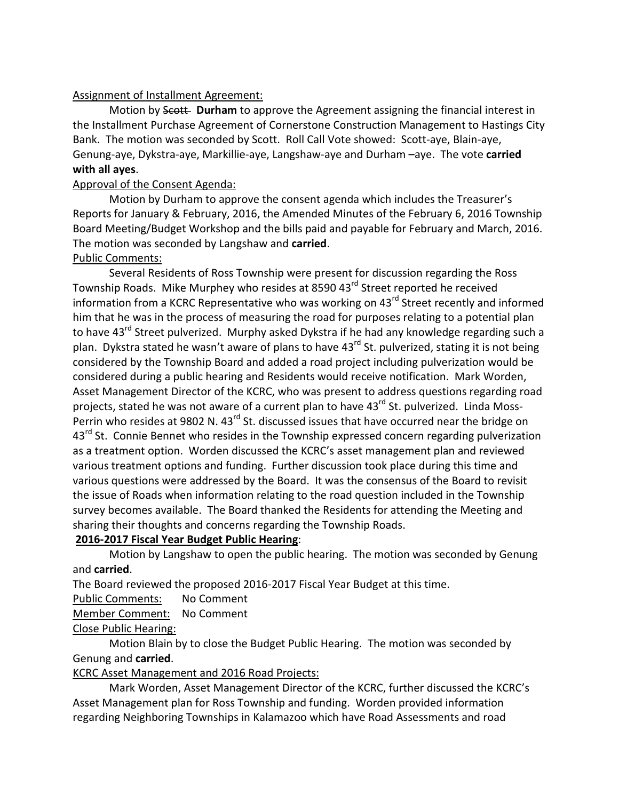#### Assignment of Installment Agreement:

Motion by Scott- Durham to approve the Agreement assigning the financial interest in the Installment Purchase Agreement of Cornerstone Construction Management to Hastings City Bank. The motion was seconded by Scott. Roll Call Vote showed: Scott-aye, Blain-aye, Genung-aye, Dykstra-aye, Markillie-aye, Langshaw-aye and Durham –aye. The vote **carried with all ayes**.

## Approval of the Consent Agenda:

 Motion by Durham to approve the consent agenda which includes the Treasurer's Reports for January & February, 2016, the Amended Minutes of the February 6, 2016 Township Board Meeting/Budget Workshop and the bills paid and payable for February and March, 2016. The motion was seconded by Langshaw and **carried**.

# Public Comments:

 Several Residents of Ross Township were present for discussion regarding the Ross Township Roads. Mike Murphey who resides at 8590 43<sup>rd</sup> Street reported he received information from a KCRC Representative who was working on 43<sup>rd</sup> Street recently and informed him that he was in the process of measuring the road for purposes relating to a potential plan to have 43<sup>rd</sup> Street pulverized. Murphy asked Dykstra if he had any knowledge regarding such a plan. Dykstra stated he wasn't aware of plans to have 43<sup>rd</sup> St. pulverized, stating it is not being considered by the Township Board and added a road project including pulverization would be considered during a public hearing and Residents would receive notification. Mark Worden, Asset Management Director of the KCRC, who was present to address questions regarding road projects, stated he was not aware of a current plan to have 43<sup>rd</sup> St. pulverized. Linda Moss-Perrin who resides at 9802 N. 43<sup>rd</sup> St. discussed issues that have occurred near the bridge on 43<sup>rd</sup> St. Connie Bennet who resides in the Township expressed concern regarding pulverization as a treatment option. Worden discussed the KCRC's asset management plan and reviewed various treatment options and funding. Further discussion took place during this time and various questions were addressed by the Board. It was the consensus of the Board to revisit the issue of Roads when information relating to the road question included in the Township survey becomes available. The Board thanked the Residents for attending the Meeting and sharing their thoughts and concerns regarding the Township Roads.

# **2016-2017 Fiscal Year Budget Public Hearing**:

 Motion by Langshaw to open the public hearing. The motion was seconded by Genung and **carried**.

The Board reviewed the proposed 2016-2017 Fiscal Year Budget at this time.

Public Comments: No Comment

Member Comment: No Comment

# Close Public Hearing:

 Motion Blain by to close the Budget Public Hearing. The motion was seconded by Genung and **carried**.

# KCRC Asset Management and 2016 Road Projects:

 Asset Management plan for Ross Township and funding. Worden provided information regarding Neighboring Townships in Kalamazoo which have Road Assessments and road Mark Worden, Asset Management Director of the KCRC, further discussed the KCRC's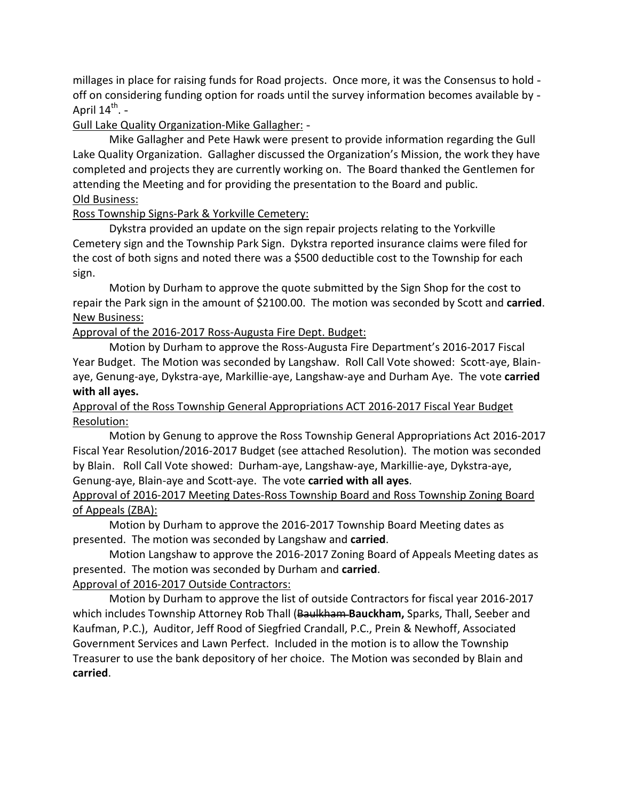millages in place for raising funds for Road projects. Once more, it was the Consensus to hold off on considering funding option for roads until the survey information becomes available by -April 14<sup>th</sup>. -

## Gull Lake Quality Organization-Mike Gallagher: -

 Lake Quality Organization. Gallagher discussed the Organization's Mission, the work they have completed and projects they are currently working on. The Board thanked the Gentlemen for attending the Meeting and for providing the presentation to the Board and public. Old Business: Mike Gallagher and Pete Hawk were present to provide information regarding the Gull

### Ross Township Signs-Park & Yorkville Cemetery:

 Dykstra provided an update on the sign repair projects relating to the Yorkville Cemetery sign and the Township Park Sign. Dykstra reported insurance claims were filed for the cost of both signs and noted there was a \$500 deductible cost to the Township for each sign.

 sign. Motion by Durham to approve the quote submitted by the Sign Shop for the cost to repair the Park sign in the amount of \$2100.00. The motion was seconded by Scott and **carried**. **New Business:** 

Approval of the 2016-2017 Ross-Augusta Fire Dept. Budget:

 Motion by Durham to approve the Ross-Augusta Fire Department's 2016-2017 Fiscal Year Budget. The Motion was seconded by Langshaw. Roll Call Vote showed: Scott-aye, Blain- aye, Genung-aye, Dykstra-aye, Markillie-aye, Langshaw-aye and Durham Aye. The vote **carried with all ayes.** 

## Approval of the Ross Township General Appropriations ACT 2016-2017 Fiscal Year Budget Resolution:

 Motion by Genung to approve the Ross Township General Appropriations Act 2016-2017 Fiscal Year Resolution/2016-2017 Budget (see attached Resolution). The motion was seconded by Blain. Roll Call Vote showed: Durham-aye, Langshaw-aye, Markillie-aye, Dykstra-aye, Genung-aye, Blain-aye and Scott-aye. The vote **carried with all ayes**.

### Approval of 2016-2017 Meeting Dates-Ross Township Board and Ross Township Zoning Board of Appeals (ZBA):

 Motion by Durham to approve the 2016-2017 Township Board Meeting dates as presented. The motion was seconded by Langshaw and **carried**.

 Motion Langshaw to approve the 2016-2017 Zoning Board of Appeals Meeting dates as presented. The motion was seconded by Durham and **carried**.

# Approval of 2016-2017 Outside Contractors:

 Motion by Durham to approve the list of outside Contractors for fiscal year 2016-2017 which includes Township Attorney Rob Thall (Baulkham **Bauckham,** Sparks, Thall, Seeber and Kaufman, P.C.), Auditor, Jeff Rood of Siegfried Crandall, P.C., Prein & Newhoff, Associated Government Services and Lawn Perfect. Included in the motion is to allow the Township Treasurer to use the bank depository of her choice. The Motion was seconded by Blain and **carried**.